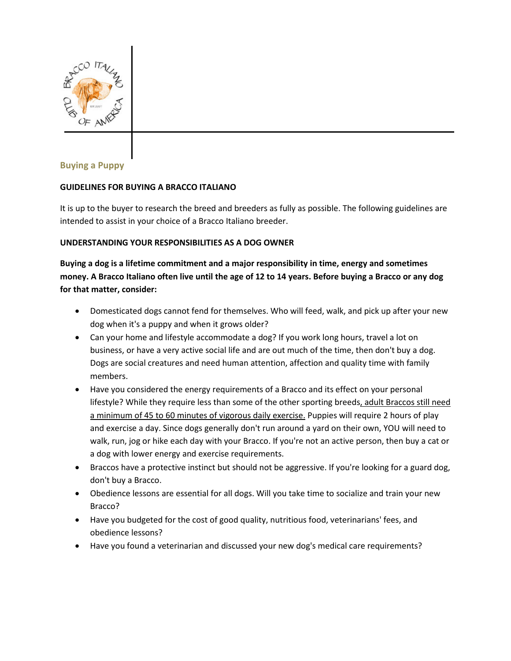

# **Buying a Puppy**

#### **GUIDELINES FOR BUYING A BRACCO ITALIANO**

It is up to the buyer to research the breed and breeders as fully as possible. The following guidelines are intended to assist in your choice of a Bracco Italiano breeder.

#### **UNDERSTANDING YOUR RESPONSIBILITIES AS A DOG OWNER**

**Buying a dog is a lifetime commitment and a major responsibility in time, energy and sometimes money. A Bracco Italiano often live until the age of 12 to 14 years. Before buying a Bracco or any dog for that matter, consider:**

- Domesticated dogs cannot fend for themselves. Who will feed, walk, and pick up after your new dog when it's a puppy and when it grows older?
- Can your home and lifestyle accommodate a dog? If you work long hours, travel a lot on business, or have a very active social life and are out much of the time, then don't buy a dog. Dogs are social creatures and need human attention, affection and quality time with family members.
- Have you considered the energy requirements of a Bracco and its effect on your personal lifestyle? While they require less than some of the other sporting breeds, adult Braccos still need a minimum of 45 to 60 minutes of vigorous daily exercise. Puppies will require 2 hours of play and exercise a day. Since dogs generally don't run around a yard on their own, YOU will need to walk, run, jog or hike each day with your Bracco. If you're not an active person, then buy a cat or a dog with lower energy and exercise requirements.
- Braccos have a protective instinct but should not be aggressive. If you're looking for a guard dog, don't buy a Bracco.
- Obedience lessons are essential for all dogs. Will you take time to socialize and train your new Bracco?
- Have you budgeted for the cost of good quality, nutritious food, veterinarians' fees, and obedience lessons?
- Have you found a veterinarian and discussed your new dog's medical care requirements?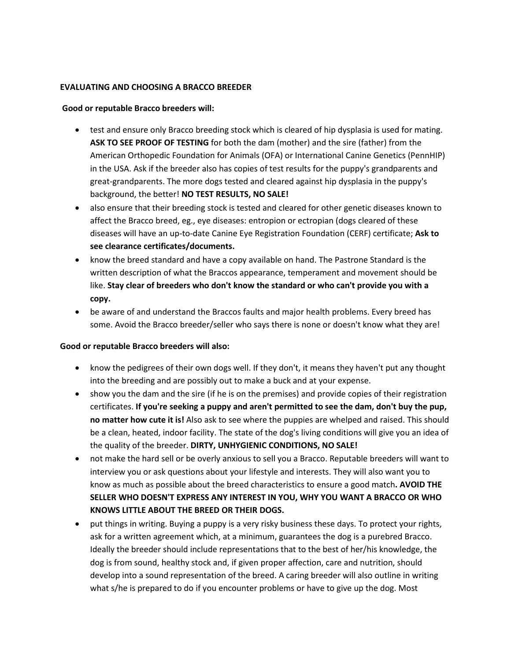#### **EVALUATING AND CHOOSING A BRACCO BREEDER**

### **Good or reputable Bracco breeders will:**

- test and ensure only Bracco breeding stock which is cleared of hip dysplasia is used for mating. **ASK TO SEE PROOF OF TESTING** for both the dam (mother) and the sire (father) from the American Orthopedic Foundation for Animals (OFA) or International Canine Genetics (PennHIP) in the USA. Ask if the breeder also has copies of test results for the puppy's grandparents and great-grandparents. The more dogs tested and cleared against hip dysplasia in the puppy's background, the better! **NO TEST RESULTS, NO SALE!**
- also ensure that their breeding stock is tested and cleared for other genetic diseases known to affect the Bracco breed, eg., eye diseases: entropion or ectropian (dogs cleared of these diseases will have an up-to-date Canine Eye Registration Foundation (CERF) certificate; **Ask to see clearance certificates/documents.**
- know the breed standard and have a copy available on hand. The Pastrone Standard is the written description of what the Braccos appearance, temperament and movement should be like. **Stay clear of breeders who don't know the standard or who can't provide you with a copy.**
- be aware of and understand the Braccos faults and major health problems. Every breed has some. Avoid the Bracco breeder/seller who says there is none or doesn't know what they are!

#### **Good or reputable Bracco breeders will also:**

- know the pedigrees of their own dogs well. If they don't, it means they haven't put any thought into the breeding and are possibly out to make a buck and at your expense.
- show you the dam and the sire (if he is on the premises) and provide copies of their registration certificates. **If you're seeking a puppy and aren't permitted to see the dam, don't buy the pup, no matter how cute it is!** Also ask to see where the puppies are whelped and raised. This should be a clean, heated, indoor facility. The state of the dog's living conditions will give you an idea of the quality of the breeder. **DIRTY, UNHYGIENIC CONDITIONS, NO SALE!**
- not make the hard sell or be overly anxious to sell you a Bracco. Reputable breeders will want to interview you or ask questions about your lifestyle and interests. They will also want you to know as much as possible about the breed characteristics to ensure a good match**. AVOID THE SELLER WHO DOESN'T EXPRESS ANY INTEREST IN YOU, WHY YOU WANT A BRACCO OR WHO KNOWS LITTLE ABOUT THE BREED OR THEIR DOGS.**
- put things in writing. Buying a puppy is a very risky business these days. To protect your rights, ask for a written agreement which, at a minimum, guarantees the dog is a purebred Bracco. Ideally the breeder should include representations that to the best of her/his knowledge, the dog is from sound, healthy stock and, if given proper affection, care and nutrition, should develop into a sound representation of the breed. A caring breeder will also outline in writing what s/he is prepared to do if you encounter problems or have to give up the dog. Most